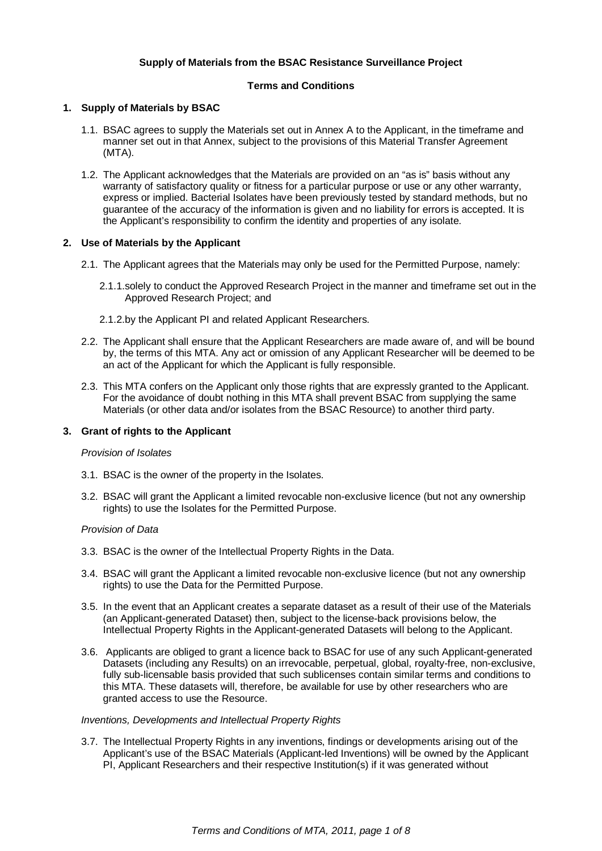# **Supply of Materials from the BSAC Resistance Surveillance Project**

# **Terms and Conditions**

### **1. Supply of Materials by BSAC**

- 1.1. BSAC agrees to supply the Materials set out in Annex A to the Applicant, in the timeframe and manner set out in that Annex, subject to the provisions of this Material Transfer Agreement (MTA).
- 1.2. The Applicant acknowledges that the Materials are provided on an "as is" basis without any warranty of satisfactory quality or fitness for a particular purpose or use or any other warranty, express or implied. Bacterial Isolates have been previously tested by standard methods, but no guarantee of the accuracy of the information is given and no liability for errors is accepted. It is the Applicant's responsibility to confirm the identity and properties of any isolate.

# **2. Use of Materials by the Applicant**

- 2.1. The Applicant agrees that the Materials may only be used for the Permitted Purpose, namely:
	- 2.1.1. solely to conduct the Approved Research Project in the manner and timeframe set out in the Approved Research Project; and
	- 2.1.2. by the Applicant PI and related Applicant Researchers.
- 2.2. The Applicant shall ensure that the Applicant Researchers are made aware of, and will be bound by, the terms of this MTA. Any act or omission of any Applicant Researcher will be deemed to be an act of the Applicant for which the Applicant is fully responsible.
- 2.3. This MTA confers on the Applicant only those rights that are expressly granted to the Applicant. For the avoidance of doubt nothing in this MTA shall prevent BSAC from supplying the same Materials (or other data and/or isolates from the BSAC Resource) to another third party.

### **3. Grant of rights to the Applicant**

### Provision of Isolates

- 3.1. BSAC is the owner of the property in the Isolates.
- 3.2. BSAC will grant the Applicant a limited revocable non-exclusive licence (but not any ownership rights) to use the Isolates for the Permitted Purpose.

### Provision of Data

- 3.3. BSAC is the owner of the Intellectual Property Rights in the Data.
- 3.4. BSAC will grant the Applicant a limited revocable non-exclusive licence (but not any ownership rights) to use the Data for the Permitted Purpose.
- 3.5. In the event that an Applicant creates a separate dataset as a result of their use of the Materials (an Applicant-generated Dataset) then, subject to the license-back provisions below, the Intellectual Property Rights in the Applicant-generated Datasets will belong to the Applicant.
- 3.6. Applicants are obliged to grant a licence back to BSAC for use of any such Applicant-generated Datasets (including any Results) on an irrevocable, perpetual, global, royalty-free, non-exclusive, fully sub-licensable basis provided that such sublicenses contain similar terms and conditions to this MTA. These datasets will, therefore, be available for use by other researchers who are granted access to use the Resource.

### Inventions, Developments and Intellectual Property Rights

3.7. The Intellectual Property Rights in any inventions, findings or developments arising out of the Applicant's use of the BSAC Materials (Applicant-led Inventions) will be owned by the Applicant PI, Applicant Researchers and their respective Institution(s) if it was generated without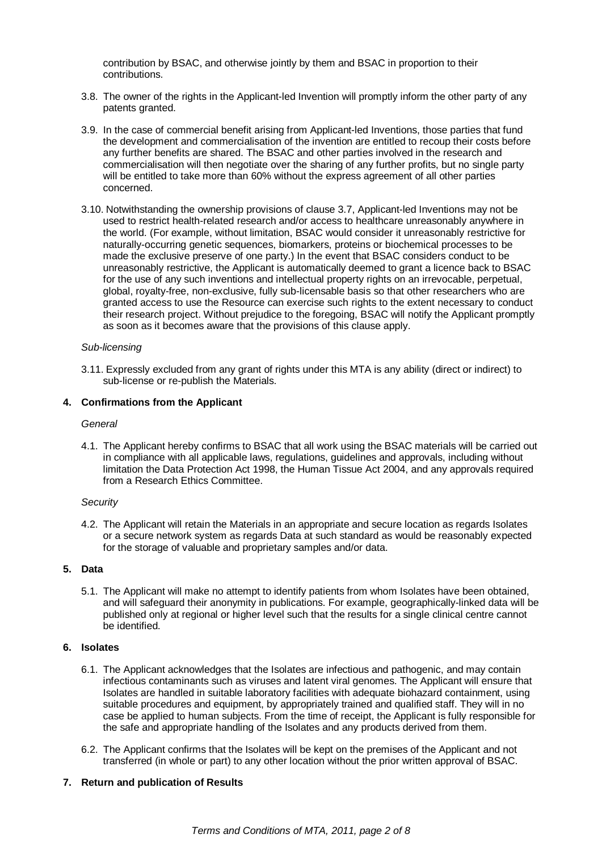contribution by BSAC, and otherwise jointly by them and BSAC in proportion to their contributions.

- 3.8. The owner of the rights in the Applicant-led Invention will promptly inform the other party of any patents granted.
- 3.9. In the case of commercial benefit arising from Applicant-led Inventions, those parties that fund the development and commercialisation of the invention are entitled to recoup their costs before any further benefits are shared. The BSAC and other parties involved in the research and commercialisation will then negotiate over the sharing of any further profits, but no single party will be entitled to take more than 60% without the express agreement of all other parties concerned.
- 3.10. Notwithstanding the ownership provisions of clause 3.7, Applicant-led Inventions may not be used to restrict health-related research and/or access to healthcare unreasonably anywhere in the world. (For example, without limitation, BSAC would consider it unreasonably restrictive for naturally-occurring genetic sequences, biomarkers, proteins or biochemical processes to be made the exclusive preserve of one party.) In the event that BSAC considers conduct to be unreasonably restrictive, the Applicant is automatically deemed to grant a licence back to BSAC for the use of any such inventions and intellectual property rights on an irrevocable, perpetual, global, royalty-free, non-exclusive, fully sub-licensable basis so that other researchers who are granted access to use the Resource can exercise such rights to the extent necessary to conduct their research project. Without prejudice to the foregoing, BSAC will notify the Applicant promptly as soon as it becomes aware that the provisions of this clause apply.

### Sub-licensing

3.11. Expressly excluded from any grant of rights under this MTA is any ability (direct or indirect) to sub-license or re-publish the Materials.

# **4. Confirmations from the Applicant**

#### General

4.1. The Applicant hereby confirms to BSAC that all work using the BSAC materials will be carried out in compliance with all applicable laws, regulations, guidelines and approvals, including without limitation the Data Protection Act 1998, the Human Tissue Act 2004, and any approvals required from a Research Ethics Committee.

### **Security**

4.2. The Applicant will retain the Materials in an appropriate and secure location as regards Isolates or a secure network system as regards Data at such standard as would be reasonably expected for the storage of valuable and proprietary samples and/or data.

# **5. Data**

5.1. The Applicant will make no attempt to identify patients from whom Isolates have been obtained, and will safeguard their anonymity in publications. For example, geographically-linked data will be published only at regional or higher level such that the results for a single clinical centre cannot be identified.

# **6. Isolates**

- 6.1. The Applicant acknowledges that the Isolates are infectious and pathogenic, and may contain infectious contaminants such as viruses and latent viral genomes. The Applicant will ensure that Isolates are handled in suitable laboratory facilities with adequate biohazard containment, using suitable procedures and equipment, by appropriately trained and qualified staff. They will in no case be applied to human subjects. From the time of receipt, the Applicant is fully responsible for the safe and appropriate handling of the Isolates and any products derived from them.
- 6.2. The Applicant confirms that the Isolates will be kept on the premises of the Applicant and not transferred (in whole or part) to any other location without the prior written approval of BSAC.

### **7. Return and publication of Results**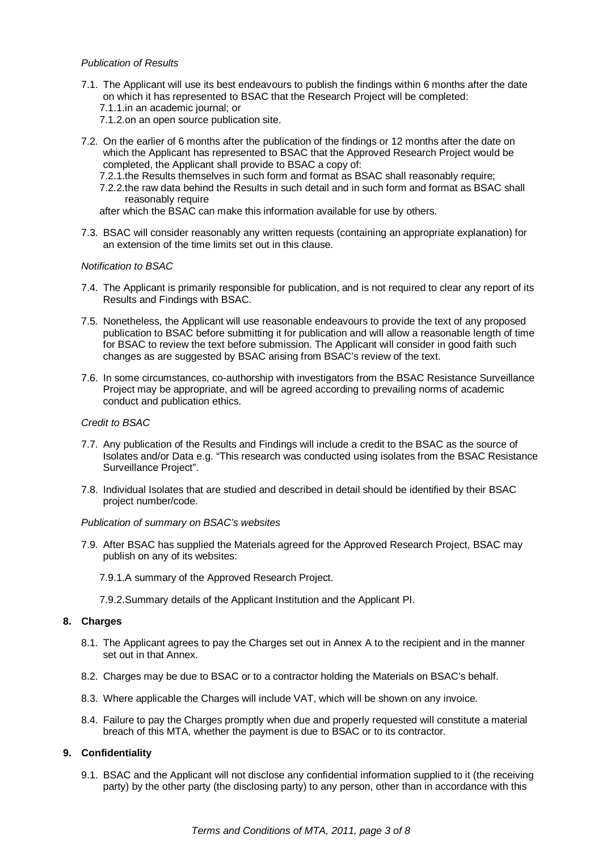## Publication of Results

- 7.1. The Applicant will use its best endeavours to publish the findings within 6 months after the date on which it has represented to BSAC that the Research Project will be completed:
	- 7.1.1. in an academic journal; or
	- 7.1.2. on an open source publication site.
- 7.2. On the earlier of 6 months after the publication of the findings or 12 months after the date on which the Applicant has represented to BSAC that the Approved Research Project would be completed, the Applicant shall provide to BSAC a copy of:
	- 7.2.1. the Results themselves in such form and format as BSAC shall reasonably require;
	- 7.2.2. the raw data behind the Results in such detail and in such form and format as BSAC shall reasonably require

after which the BSAC can make this information available for use by others.

7.3. BSAC will consider reasonably any written requests (containing an appropriate explanation) for an extension of the time limits set out in this clause.

### Notification to BSAC

- 7.4. The Applicant is primarily responsible for publication, and is not required to clear any report of its Results and Findings with BSAC.
- 7.5. Nonetheless, the Applicant will use reasonable endeavours to provide the text of any proposed publication to BSAC before submitting it for publication and will allow a reasonable length of time for BSAC to review the text before submission. The Applicant will consider in good faith such changes as are suggested by BSAC arising from BSAC's review of the text.
- 7.6. In some circumstances, co-authorship with investigators from the BSAC Resistance Surveillance Project may be appropriate, and will be agreed according to prevailing norms of academic conduct and publication ethics.

### Credit to BSAC

- 7.7. Any publication of the Results and Findings will include a credit to the BSAC as the source of Isolates and/or Data e.g. "This research was conducted using isolates from the BSAC Resistance Surveillance Project".
- 7.8. Individual Isolates that are studied and described in detail should be identified by their BSAC project number/code.

### Publication of summary on BSAC's websites

- 7.9. After BSAC has supplied the Materials agreed for the Approved Research Project, BSAC may publish on any of its websites:
	- 7.9.1. A summary of the Approved Research Project.
	- 7.9.2. Summary details of the Applicant Institution and the Applicant PI.

### **8. Charges**

- 8.1. The Applicant agrees to pay the Charges set out in Annex A to the recipient and in the manner set out in that Annex.
- 8.2. Charges may be due to BSAC or to a contractor holding the Materials on BSAC's behalf.
- 8.3. Where applicable the Charges will include VAT, which will be shown on any invoice.
- 8.4. Failure to pay the Charges promptly when due and properly requested will constitute a material breach of this MTA, whether the payment is due to BSAC or to its contractor.

# **9. Confidentiality**

9.1. BSAC and the Applicant will not disclose any confidential information supplied to it (the receiving party) by the other party (the disclosing party) to any person, other than in accordance with this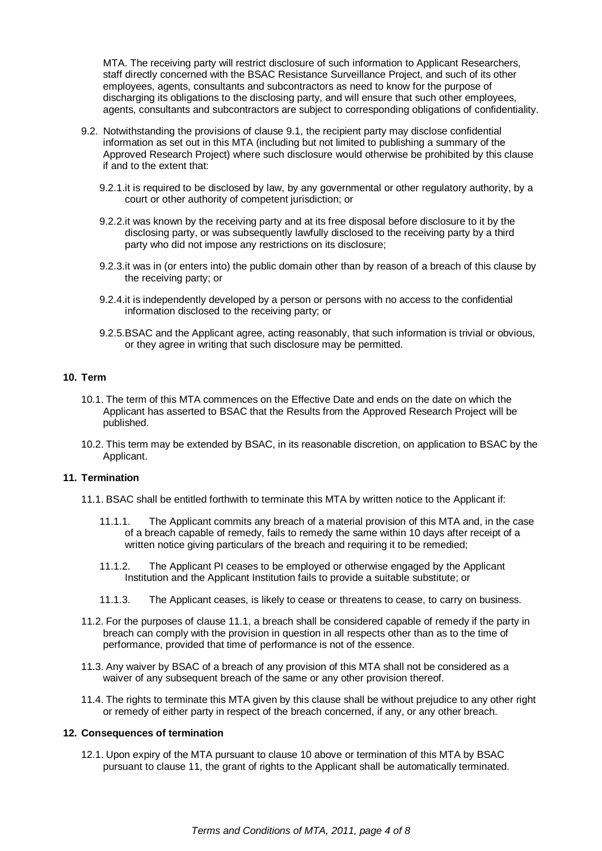MTA. The receiving party will restrict disclosure of such information to Applicant Researchers, staff directly concerned with the BSAC Resistance Surveillance Project, and such of its other employees, agents, consultants and subcontractors as need to know for the purpose of discharging its obligations to the disclosing party, and will ensure that such other employees, agents, consultants and subcontractors are subject to corresponding obligations of confidentiality.

- 9.2. Notwithstanding the provisions of clause 9.1, the recipient party may disclose confidential information as set out in this MTA (including but not limited to publishing a summary of the Approved Research Project) where such disclosure would otherwise be prohibited by this clause if and to the extent that:
	- 9.2.1. it is required to be disclosed by law, by any governmental or other regulatory authority, by a court or other authority of competent jurisdiction; or
	- 9.2.2. it was known by the receiving party and at its free disposal before disclosure to it by the disclosing party, or was subsequently lawfully disclosed to the receiving party by a third party who did not impose any restrictions on its disclosure;
	- 9.2.3. it was in (or enters into) the public domain other than by reason of a breach of this clause by the receiving party; or
	- 9.2.4. it is independently developed by a person or persons with no access to the confidential information disclosed to the receiving party; or
	- 9.2.5. BSAC and the Applicant agree, acting reasonably, that such information is trivial or obvious, or they agree in writing that such disclosure may be permitted.

### **10. Term**

- 10.1. The term of this MTA commences on the Effective Date and ends on the date on which the Applicant has asserted to BSAC that the Results from the Approved Research Project will be published.
- 10.2. This term may be extended by BSAC, in its reasonable discretion, on application to BSAC by the Applicant.

#### **11. Termination**

- 11.1. BSAC shall be entitled forthwith to terminate this MTA by written notice to the Applicant if:
	- 11.1.1. The Applicant commits any breach of a material provision of this MTA and, in the case of a breach capable of remedy, fails to remedy the same within 10 days after receipt of a written notice giving particulars of the breach and requiring it to be remedied;
	- 11.1.2. The Applicant PI ceases to be employed or otherwise engaged by the Applicant Institution and the Applicant Institution fails to provide a suitable substitute; or
	- 11.1.3. The Applicant ceases, is likely to cease or threatens to cease, to carry on business.
- 11.2. For the purposes of clause 11.1, a breach shall be considered capable of remedy if the party in breach can comply with the provision in question in all respects other than as to the time of performance, provided that time of performance is not of the essence.
- 11.3. Any waiver by BSAC of a breach of any provision of this MTA shall not be considered as a waiver of any subsequent breach of the same or any other provision thereof.
- 11.4. The rights to terminate this MTA given by this clause shall be without prejudice to any other right or remedy of either party in respect of the breach concerned, if any, or any other breach.

#### **12. Consequences of termination**

12.1. Upon expiry of the MTA pursuant to clause 10 above or termination of this MTA by BSAC pursuant to clause 11, the grant of rights to the Applicant shall be automatically terminated.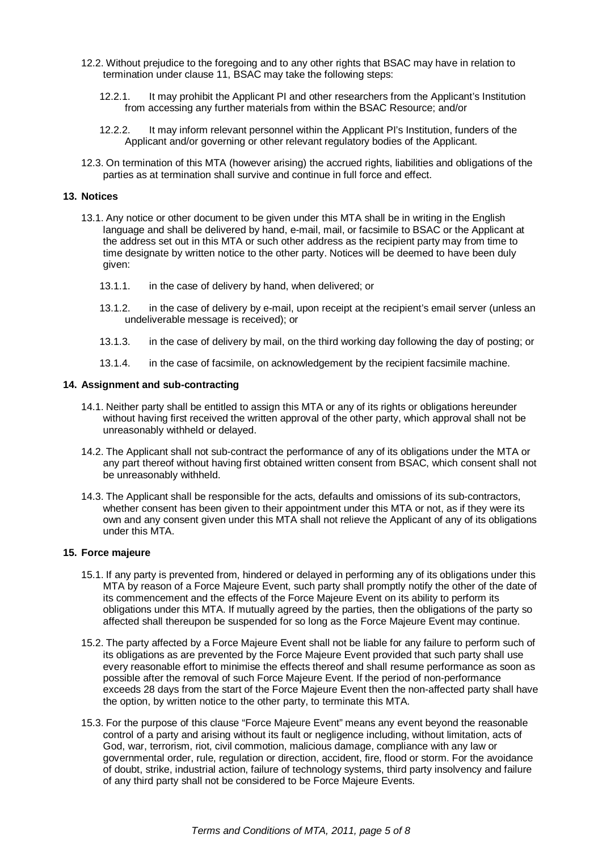- 12.2. Without prejudice to the foregoing and to any other rights that BSAC may have in relation to termination under clause 11, BSAC may take the following steps:
	- 12.2.1. It may prohibit the Applicant PI and other researchers from the Applicant's Institution from accessing any further materials from within the BSAC Resource; and/or
	- 12.2.2. It may inform relevant personnel within the Applicant PI's Institution, funders of the Applicant and/or governing or other relevant regulatory bodies of the Applicant.
- 12.3. On termination of this MTA (however arising) the accrued rights, liabilities and obligations of the parties as at termination shall survive and continue in full force and effect.

# **13. Notices**

- 13.1. Any notice or other document to be given under this MTA shall be in writing in the English language and shall be delivered by hand, e-mail, mail, or facsimile to BSAC or the Applicant at the address set out in this MTA or such other address as the recipient party may from time to time designate by written notice to the other party. Notices will be deemed to have been duly given:
	- 13.1.1. in the case of delivery by hand, when delivered; or
	- 13.1.2. in the case of delivery by e-mail, upon receipt at the recipient's email server (unless an undeliverable message is received); or
	- 13.1.3. in the case of delivery by mail, on the third working day following the day of posting; or
	- 13.1.4. in the case of facsimile, on acknowledgement by the recipient facsimile machine.

### **14. Assignment and sub-contracting**

- 14.1. Neither party shall be entitled to assign this MTA or any of its rights or obligations hereunder without having first received the written approval of the other party, which approval shall not be unreasonably withheld or delayed.
- 14.2. The Applicant shall not sub-contract the performance of any of its obligations under the MTA or any part thereof without having first obtained written consent from BSAC, which consent shall not be unreasonably withheld.
- 14.3. The Applicant shall be responsible for the acts, defaults and omissions of its sub-contractors, whether consent has been given to their appointment under this MTA or not, as if they were its own and any consent given under this MTA shall not relieve the Applicant of any of its obligations under this MTA.

### **15. Force majeure**

- 15.1. If any party is prevented from, hindered or delayed in performing any of its obligations under this MTA by reason of a Force Majeure Event, such party shall promptly notify the other of the date of its commencement and the effects of the Force Majeure Event on its ability to perform its obligations under this MTA. If mutually agreed by the parties, then the obligations of the party so affected shall thereupon be suspended for so long as the Force Majeure Event may continue.
- 15.2. The party affected by a Force Majeure Event shall not be liable for any failure to perform such of its obligations as are prevented by the Force Majeure Event provided that such party shall use every reasonable effort to minimise the effects thereof and shall resume performance as soon as possible after the removal of such Force Majeure Event. If the period of non-performance exceeds 28 days from the start of the Force Majeure Event then the non-affected party shall have the option, by written notice to the other party, to terminate this MTA.
- 15.3. For the purpose of this clause "Force Majeure Event" means any event beyond the reasonable control of a party and arising without its fault or negligence including, without limitation, acts of God, war, terrorism, riot, civil commotion, malicious damage, compliance with any law or governmental order, rule, regulation or direction, accident, fire, flood or storm. For the avoidance of doubt, strike, industrial action, failure of technology systems, third party insolvency and failure of any third party shall not be considered to be Force Majeure Events.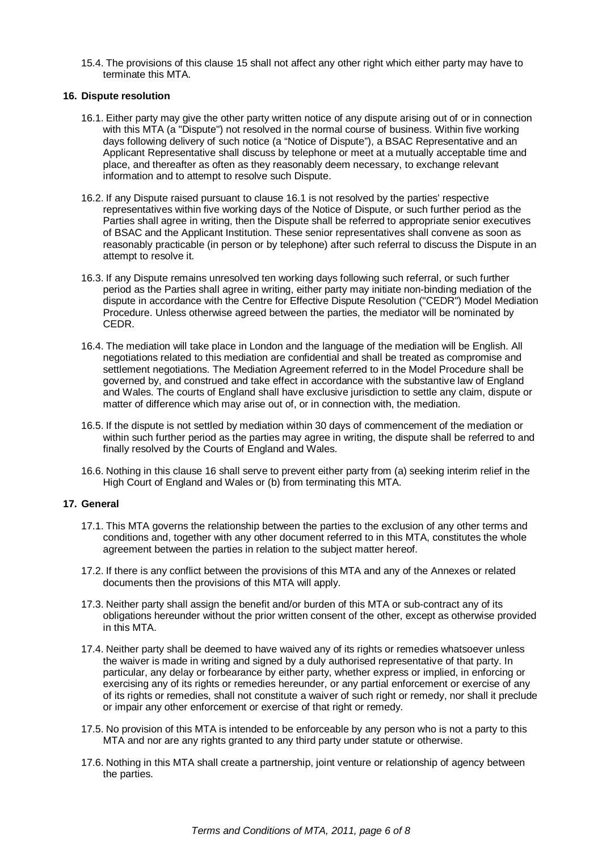15.4. The provisions of this clause 15 shall not affect any other right which either party may have to terminate this MTA.

### **16. Dispute resolution**

- 16.1. Either party may give the other party written notice of any dispute arising out of or in connection with this MTA (a "Dispute") not resolved in the normal course of business. Within five working days following delivery of such notice (a "Notice of Dispute"), a BSAC Representative and an Applicant Representative shall discuss by telephone or meet at a mutually acceptable time and place, and thereafter as often as they reasonably deem necessary, to exchange relevant information and to attempt to resolve such Dispute.
- 16.2. If any Dispute raised pursuant to clause 16.1 is not resolved by the parties' respective representatives within five working days of the Notice of Dispute, or such further period as the Parties shall agree in writing, then the Dispute shall be referred to appropriate senior executives of BSAC and the Applicant Institution. These senior representatives shall convene as soon as reasonably practicable (in person or by telephone) after such referral to discuss the Dispute in an attempt to resolve it.
- 16.3. If any Dispute remains unresolved ten working days following such referral, or such further period as the Parties shall agree in writing, either party may initiate non-binding mediation of the dispute in accordance with the Centre for Effective Dispute Resolution ("CEDR") Model Mediation Procedure. Unless otherwise agreed between the parties, the mediator will be nominated by CEDR.
- 16.4. The mediation will take place in London and the language of the mediation will be English. All negotiations related to this mediation are confidential and shall be treated as compromise and settlement negotiations. The Mediation Agreement referred to in the Model Procedure shall be governed by, and construed and take effect in accordance with the substantive law of England and Wales. The courts of England shall have exclusive jurisdiction to settle any claim, dispute or matter of difference which may arise out of, or in connection with, the mediation.
- 16.5. If the dispute is not settled by mediation within 30 days of commencement of the mediation or within such further period as the parties may agree in writing, the dispute shall be referred to and finally resolved by the Courts of England and Wales.
- 16.6. Nothing in this clause 16 shall serve to prevent either party from (a) seeking interim relief in the High Court of England and Wales or (b) from terminating this MTA.

# **17. General**

- 17.1. This MTA governs the relationship between the parties to the exclusion of any other terms and conditions and, together with any other document referred to in this MTA, constitutes the whole agreement between the parties in relation to the subject matter hereof.
- 17.2. If there is any conflict between the provisions of this MTA and any of the Annexes or related documents then the provisions of this MTA will apply.
- 17.3. Neither party shall assign the benefit and/or burden of this MTA or sub-contract any of its obligations hereunder without the prior written consent of the other, except as otherwise provided in this MTA.
- 17.4. Neither party shall be deemed to have waived any of its rights or remedies whatsoever unless the waiver is made in writing and signed by a duly authorised representative of that party. In particular, any delay or forbearance by either party, whether express or implied, in enforcing or exercising any of its rights or remedies hereunder, or any partial enforcement or exercise of any of its rights or remedies, shall not constitute a waiver of such right or remedy, nor shall it preclude or impair any other enforcement or exercise of that right or remedy.
- 17.5. No provision of this MTA is intended to be enforceable by any person who is not a party to this MTA and nor are any rights granted to any third party under statute or otherwise.
- 17.6. Nothing in this MTA shall create a partnership, joint venture or relationship of agency between the parties.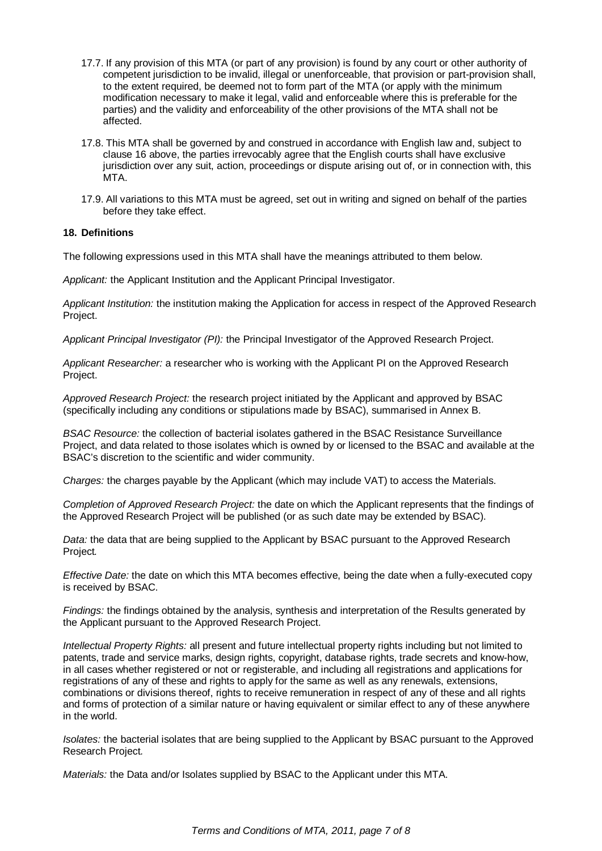- 17.7. If any provision of this MTA (or part of any provision) is found by any court or other authority of competent jurisdiction to be invalid, illegal or unenforceable, that provision or part-provision shall, to the extent required, be deemed not to form part of the MTA (or apply with the minimum modification necessary to make it legal, valid and enforceable where this is preferable for the parties) and the validity and enforceability of the other provisions of the MTA shall not be affected.
- 17.8. This MTA shall be governed by and construed in accordance with English law and, subject to clause 16 above, the parties irrevocably agree that the English courts shall have exclusive jurisdiction over any suit, action, proceedings or dispute arising out of, or in connection with, this **MTA**
- 17.9. All variations to this MTA must be agreed, set out in writing and signed on behalf of the parties before they take effect.

# **18. Definitions**

The following expressions used in this MTA shall have the meanings attributed to them below.

Applicant: the Applicant Institution and the Applicant Principal Investigator.

Applicant Institution: the institution making the Application for access in respect of the Approved Research Project.

Applicant Principal Investigator (PI): the Principal Investigator of the Approved Research Project.

Applicant Researcher: a researcher who is working with the Applicant PI on the Approved Research Project.

Approved Research Project: the research project initiated by the Applicant and approved by BSAC (specifically including any conditions or stipulations made by BSAC), summarised in Annex B.

BSAC Resource: the collection of bacterial isolates gathered in the BSAC Resistance Surveillance Project, and data related to those isolates which is owned by or licensed to the BSAC and available at the BSAC's discretion to the scientific and wider community.

Charges: the charges payable by the Applicant (which may include VAT) to access the Materials.

Completion of Approved Research Project: the date on which the Applicant represents that the findings of the Approved Research Project will be published (or as such date may be extended by BSAC).

Data: the data that are being supplied to the Applicant by BSAC pursuant to the Approved Research Project.

Effective Date: the date on which this MTA becomes effective, being the date when a fully-executed copy is received by BSAC.

Findings: the findings obtained by the analysis, synthesis and interpretation of the Results generated by the Applicant pursuant to the Approved Research Project.

Intellectual Property Rights: all present and future intellectual property rights including but not limited to patents, trade and service marks, design rights, copyright, database rights, trade secrets and know-how, in all cases whether registered or not or registerable, and including all registrations and applications for registrations of any of these and rights to apply for the same as well as any renewals, extensions, combinations or divisions thereof, rights to receive remuneration in respect of any of these and all rights and forms of protection of a similar nature or having equivalent or similar effect to any of these anywhere in the world.

Isolates: the bacterial isolates that are being supplied to the Applicant by BSAC pursuant to the Approved Research Project.

Materials: the Data and/or Isolates supplied by BSAC to the Applicant under this MTA.